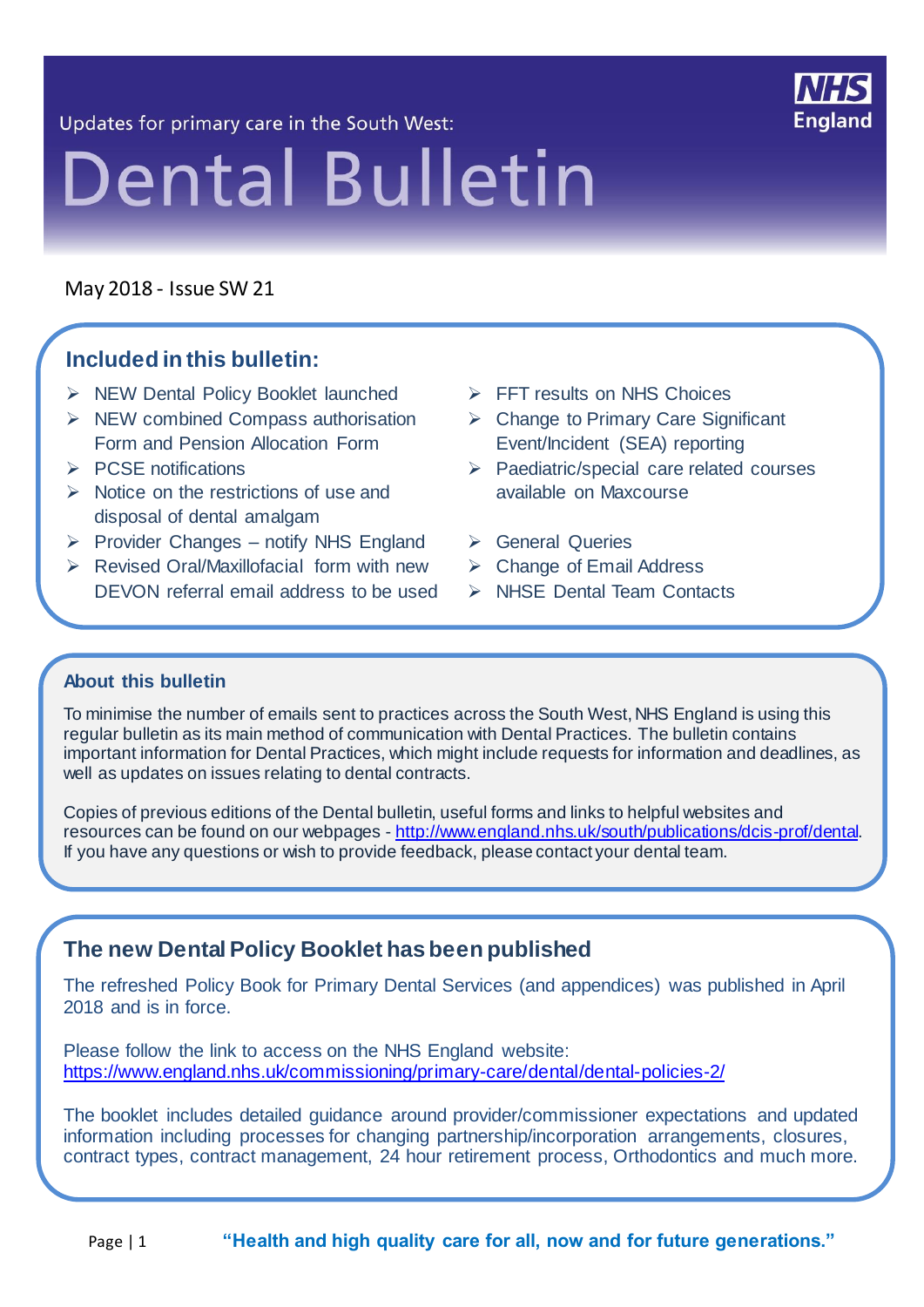Updates for primary care in the South West:



# **Dental Bulletin**

May 2018 - Issue SW 21

21 21

#### **Included in this bulletin:**

- > NEW Dental Policy Booklet launched
- $\triangleright$  NEW combined Compass authorisation Form and Pension Allocation Form
- $\triangleright$  PCSE notifications
- $\triangleright$  Notice on the restrictions of use and disposal of dental amalgam
- $\triangleright$  Provider Changes notify NHS England
- $\triangleright$  Revised Oral/Maxillofacial form with new DEVON referral email address to be used
- $\triangleright$  FFT results on NHS Choices
- $\triangleright$  Change to Primary Care Significant Event/Incident (SEA) reporting
- $\triangleright$  Paediatric/special care related courses available on Maxcourse
- General Queries
- Change of Email Address
- > NHSE Dental Team Contacts

#### **About this bulletin**

To minimise the number of emails sent to practices across the South West, NHS England is using this regular bulletin as its main method of communication with Dental Practices. The bulletin contains important information for Dental Practices, which might include requests for information and deadlines, as well as updates on issues relating to dental contracts.

Copies of previous editions of the Dental bulletin, useful forms and links to helpful websites and resources can be found on our webpages - [http://www.england.nhs.uk/south/publications/dcis-prof/dental.](http://www.england.nhs.uk/south/publications/dcis-prof/dental) If you have any questions or wish to provide feedback, please contact your dental team.

#### **The new Dental Policy Booklet has been published**

The refreshed Policy Book for Primary Dental Services (and appendices) was published in April 2018 and is in force.

Please follow the link to access on the NHS England website: <https://www.england.nhs.uk/commissioning/primary-care/dental/dental-policies-2/>

The booklet includes detailed guidance around provider/commissioner expectations and updated information including processes for changing partnership/incorporation arrangements, closures, contract types, contract management, 24 hour retirement process, Orthodontics and much more.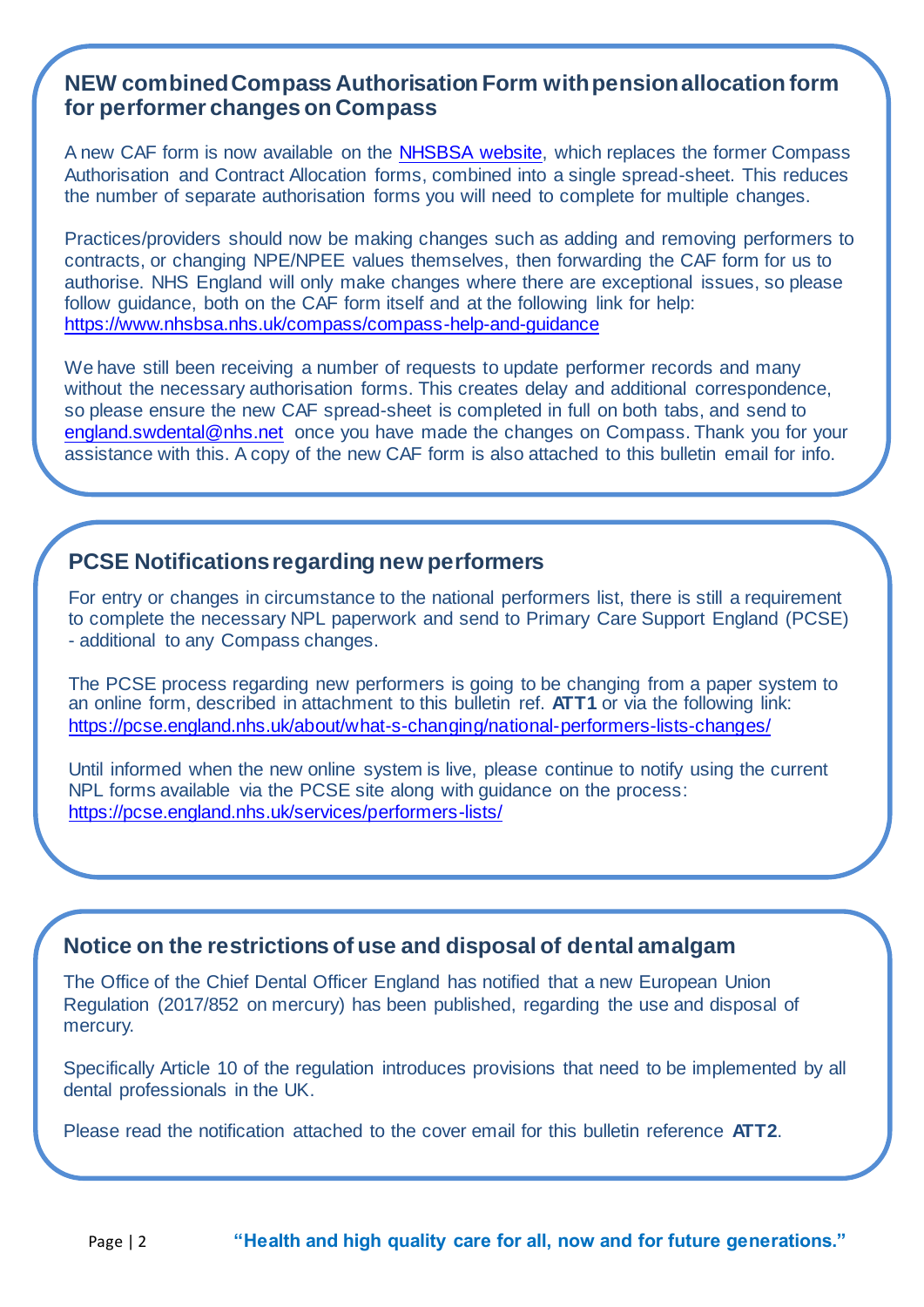#### **NEW combined Compass Authorisation Form with pension allocation form for performer changes on Compass**

A new CAF form is now available on the [NHSBSA website,](https://www.nhsbsa.nhs.uk/compass/compass-help-and-guidance) which replaces the former Compass Authorisation and Contract Allocation forms, combined into a single spread-sheet. This reduces the number of separate authorisation forms you will need to complete for multiple changes.

Practices/providers should now be making changes such as adding and removing performers to contracts, or changing NPE/NPEE values themselves, then forwarding the CAF form for us to authorise. NHS England will only make changes where there are exceptional issues, so please follow guidance, both on the CAF form itself and at the following link for help: <https://www.nhsbsa.nhs.uk/compass/compass-help-and-guidance>

We have still been receiving a number of requests to update performer records and many without the necessary authorisation forms. This creates delay and additional correspondence, so please ensure the new CAF spread-sheet is completed in full on both tabs, and send to [england.swdental@nhs.net](mailto:england.swdental@nhs.net) once you have made the changes on Compass. Thank you for your assistance with this. A copy of the new CAF form is also attached to this bulletin email for info.

#### **PCSE Notifications regarding new performers**

For entry or changes in circumstance to the national performers list, there is still a requirement to complete the necessary NPL paperwork and send to Primary Care Support England (PCSE) - additional to any Compass changes.

The PCSE process regarding new performers is going to be changing from a paper system to an online form, described in attachment to this bulletin ref. **ATT1** or via the following link: <https://pcse.england.nhs.uk/about/what-s-changing/national-performers-lists-changes/>

Until informed when the new online system is live, please continue to notify using the current NPL forms available via the PCSE site along with guidance on the process: <https://pcse.england.nhs.uk/services/performers-lists/>

#### **Notice on the restrictions of use and disposal of dental amalgam**

The Office of the Chief Dental Officer England has notified that a new European Union Regulation (2017/852 on mercury) has been published, regarding the use and disposal of mercury.

Specifically Article 10 of the regulation introduces provisions that need to be implemented by all dental professionals in the UK.

Please read the notification attached to the cover email for this bulletin reference **ATT2**.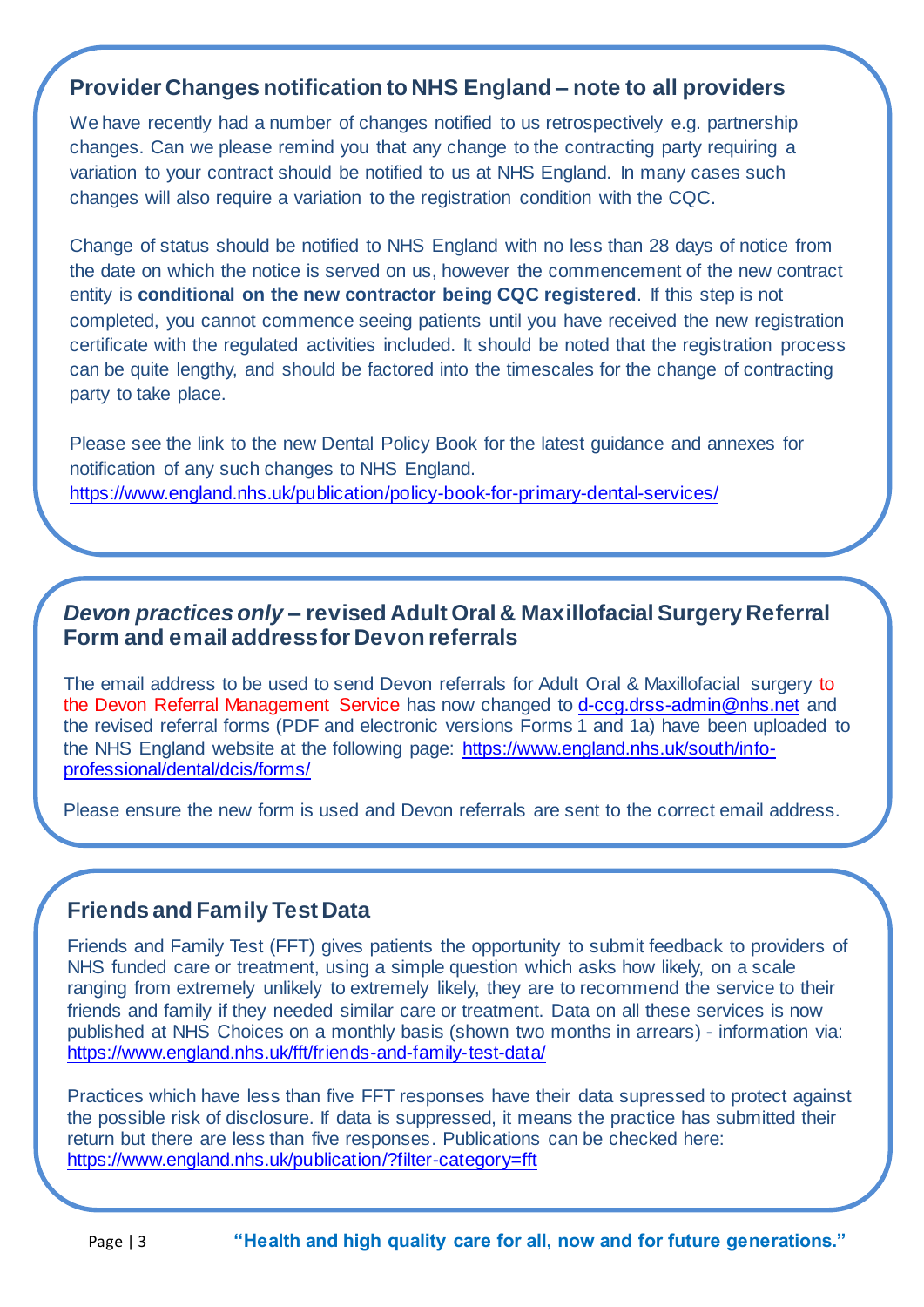#### **Provider Changes notification to NHS England – note to all providers**

We have recently had a number of changes notified to us retrospectively e.g. partnership changes. Can we please remind you that any change to the contracting party requiring a variation to your contract should be notified to us at NHS England. In many cases such changes will also require a variation to the registration condition with the CQC.

Change of status should be notified to NHS England with no less than 28 days of notice from the date on which the notice is served on us, however the commencement of the new contract entity is **conditional on the new contractor being CQC registered**. If this step is not completed, you cannot commence seeing patients until you have received the new registration certificate with the regulated activities included. It should be noted that the registration process can be quite lengthy, and should be factored into the timescales for the change of contracting party to take place.

Please see the link to the new Dental Policy Book for the latest guidance and annexes for notification of any such changes to NHS England. <https://www.england.nhs.uk/publication/policy-book-for-primary-dental-services/>

#### *Devon practices only* **– revised Adult Oral & Maxillofacial Surgery Referral Form and email address for Devon referrals**

The email address to be used to send Devon referrals for Adult Oral & Maxillofacial surgery to the Devon Referral Management Service has now changed to [d-ccg.drss-admin@nhs.net](mailto:d-ccg.drss-admin@nhs.net) and the revised referral forms (PDF and electronic versions Forms 1 and 1a) have been uploaded to the NHS England website at the following page: [https://www.england.nhs.uk/south/info](https://www.england.nhs.uk/south/info-professional/dental/dcis/forms/)[professional/dental/dcis/forms/](https://www.england.nhs.uk/south/info-professional/dental/dcis/forms/)

Please ensure the new form is used and Devon referrals are sent to the correct email address.

#### **Friends and Family Test Data**

Friends and Family Test (FFT) gives patients the opportunity to submit feedback to providers of NHS funded care or treatment, using a simple question which asks how likely, on a scale ranging from extremely unlikely to extremely likely, they are to recommend the service to their friends and family if they needed similar care or treatment. Data on all these services is now published at NHS Choices on a monthly basis (shown two months in arrears) - information via: <https://www.england.nhs.uk/fft/friends-and-family-test-data/>

Practices which have less than five FFT responses have their data supressed to protect against the possible risk of disclosure. If data is suppressed, it means the practice has submitted their return but there are less than five responses. Publications can be checked here: <https://www.england.nhs.uk/publication/?filter-category=fft>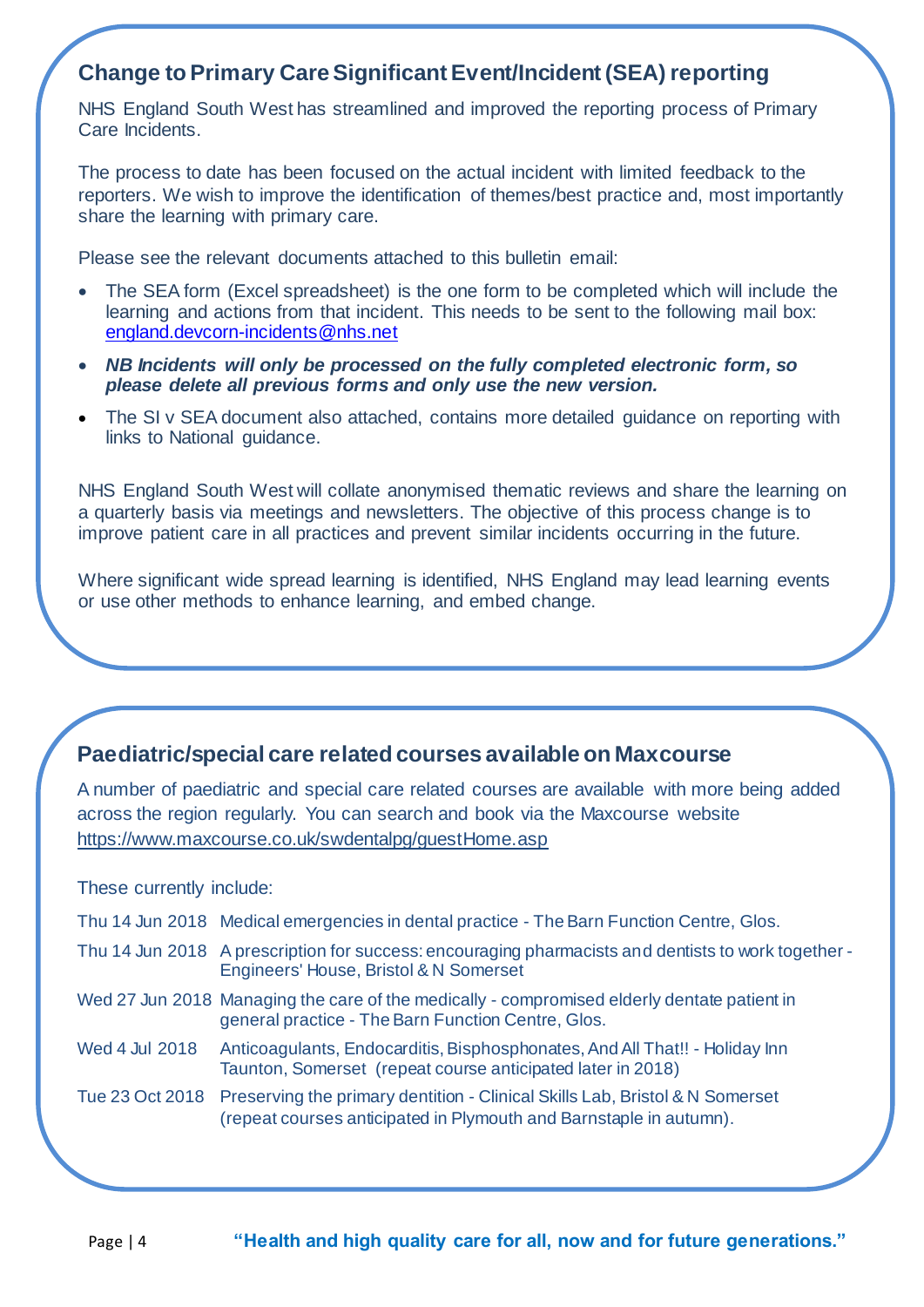#### **Change to Primary Care Significant Event/Incident (SEA) reporting**

NHS England South West has streamlined and improved the reporting process of Primary Care Incidents.

The process to date has been focused on the actual incident with limited feedback to the reporters. We wish to improve the identification of themes/best practice and, most importantly share the learning with primary care.

Please see the relevant documents attached to this bulletin email:

- The SEA form (Excel spreadsheet) is the one form to be completed which will include the learning and actions from that incident. This needs to be sent to the following mail box: [england.devcorn-incidents@nhs.net](mailto:england.devcorn-incidents@nhs.net)
- *NB Incidents will only be processed on the fully completed electronic form, so please delete all previous forms and only use the new version.*
- The SI v SEA document also attached, contains more detailed guidance on reporting with links to National guidance.

NHS England South West will collate anonymised thematic reviews and share the learning on a quarterly basis via meetings and newsletters. The objective of this process change is to improve patient care in all practices and prevent similar incidents occurring in the future.

Where significant wide spread learning is identified, NHS England may lead learning events or use other methods to enhance learning, and embed change.

#### **Paediatric/special care related courses available on Maxcourse**

A number of paediatric and special care related courses are available with more being added across the region regularly. You can search and book via the Maxcourse website <https://www.maxcourse.co.uk/swdentalpg/guestHome.asp>

These currently include:

| Thu 14 Jun 2018 Medical emergencies in dental practice - The Barn Function Centre, Glos. |  |
|------------------------------------------------------------------------------------------|--|
|                                                                                          |  |

- Thu 14 Jun 2018 A prescription for success: encouraging pharmacists and dentists to work together Engineers' House, Bristol & N Somerset
- Wed 27 Jun 2018 Managing the care of the medically compromised elderly dentate patient in general practice - The Barn Function Centre, Glos.
- Wed 4 Jul 2018 Anticoagulants, Endocarditis, Bisphosphonates, And All That!! Holiday Inn Taunton, Somerset (repeat course anticipated later in 2018)
- Tue 23 Oct 2018 Preserving the primary dentition Clinical Skills Lab, Bristol & N Somerset (repeat courses anticipated in Plymouth and Barnstaple in autumn).